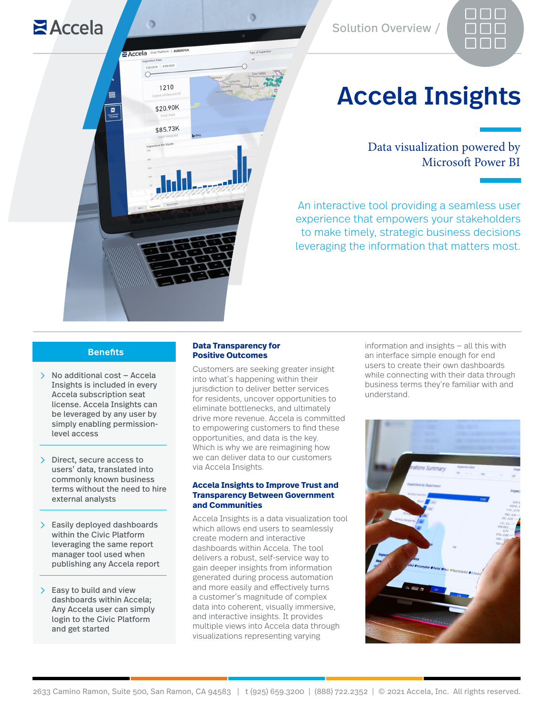

# Accela Insights

Data visualization powered by Microsoft Power BI

An interactive tool providing a seamless user experience that empowers your stakeholders to make timely, strategic business decisions leveraging the information that matters most.

### **Benefits**

 $Accela$ 

Accela Civic

 $\overline{B}$ 

/22/2018 8/29/202

1210

\$20.90K

\$85.73K

- $\geq$  No additional cost Accela Insights is included in every Accela subscription seat license. Accela Insights can be leveraged by any user by simply enabling permissionlevel access
- $\sum$  Direct, secure access to users' data, translated into commonly known business terms without the need to hire external analysts
- $\sum$  Easily deployed dashboards within the Civic Platform leveraging the same report manager tool used when publishing any Accela report
- $\sum$  Easy to build and view dashboards within Accela; Any Accela user can simply login to the Civic Platform and get started

#### **Data Transparency for Positive Outcomes**

Customers are seeking greater insight into what's happening within their jurisdiction to deliver better services for residents, uncover opportunities to eliminate bottlenecks, and ultimately drive more revenue. Accela is committed to empowering customers to find these opportunities, and data is the key. Which is why we are reimagining how we can deliver data to our customers via Accela Insights.

#### **Accela Insights to Improve Trust and Transparency Between Government and Communities**

Accela Insights is a data visualization tool which allows end users to seamlessly create modern and interactive dashboards within Accela. The tool delivers a robust, self-service way to gain deeper insights from information generated during process automation and more easily and effectively turns a customer's magnitude of complex data into coherent, visually immersive, and interactive insights. It provides multiple views into Accela data through visualizations representing varying

information and insights — all this with an interface simple enough for end users to create their own dashboards while connecting with their data through business terms they're familiar with and understand.